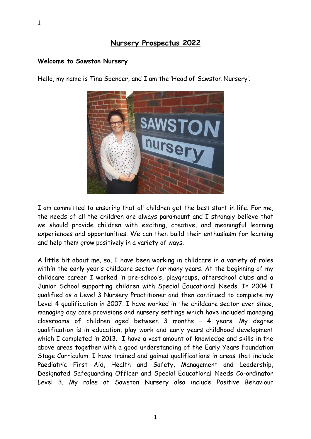#### **Welcome to Sawston Nursery**



Hello, my name is Tina Spencer, and I am the 'Head of Sawston Nursery'.

I am committed to ensuring that all children get the best start in life. For me, the needs of all the children are always paramount and I strongly believe that we should provide children with exciting, creative, and meaningful learning experiences and opportunities. We can then build their enthusiasm for learning and help them grow positively in a variety of ways.

A little bit about me, so, I have been working in childcare in a variety of roles within the early year's childcare sector for many years. At the beginning of my childcare career I worked in pre-schools, playgroups, afterschool clubs and a Junior School supporting children with Special Educational Needs. In 2004 I qualified as a Level 3 Nursery Practitioner and then continued to complete my Level 4 qualification in 2007. I have worked in the childcare sector ever since, managing day care provisions and nursery settings which have included managing classrooms of children aged between 3 months – 4 years. My degree qualification is in education, play work and early years childhood development which I completed in 2013. I have a vast amount of knowledge and skills in the above areas together with a good understanding of the Early Years Foundation Stage Curriculum. I have trained and gained qualifications in areas that include Paediatric First Aid, Health and Safety, Management and Leadership, Designated Safeguarding Officer and Special Educational Needs Co-ordinator Level 3. My roles at Sawston Nursery also include Positive Behaviour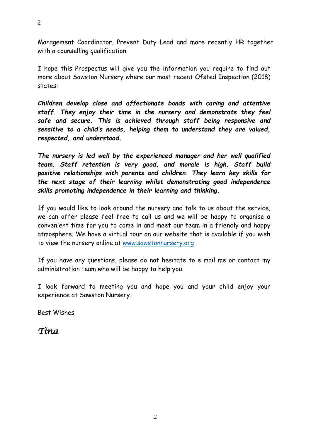Management Coordinator, Prevent Duty Lead and more recently HR together with a counselling qualification.

I hope this Prospectus will give you the information you require to find out more about Sawston Nursery where our most recent Ofsted Inspection (2018) states:

*Children develop close and affectionate bonds with caring and attentive staff. They enjoy their time in the nursery and demonstrate they feel safe and secure. This is achieved through staff being responsive and sensitive to a child's needs, helping them to understand they are valued, respected, and understood.* 

*The nursery is led well by the experienced manager and her well qualified team. Staff retention is very good, and morale is high. Staff build positive relationships with parents and children. They learn key skills for the next stage of their learning whilst demonstrating good independence skills promoting independence in their learning and thinking.*

If you would like to look around the nursery and talk to us about the service, we can offer please feel free to call us and we will be happy to organise a convenient time for you to come in and meet our team in a friendly and happy atmosphere. We have a virtual tour on our website that is available if you wish to view the nursery online at [www.sawstonnursery.org](http://www.sawstonnursery.org/)

If you have any questions, please do not hesitate to e mail me or contact my administration team who will be happy to help you.

I look forward to meeting you and hope you and your child enjoy your experience at Sawston Nursery.

Best Wishes

*Tina*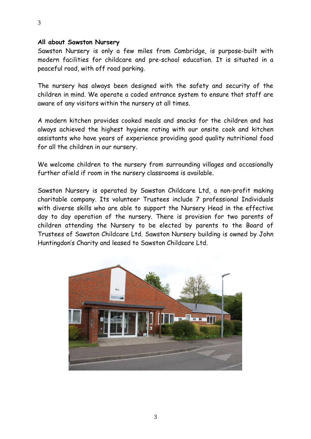#### **All about Sawston Nursery**

Sawston Nursery is only a few miles from Cambridge, is purpose-built with modern facilities for childcare and pre-school education. It is situated in a peaceful road, with off road parking.

The nursery has always been designed with the safety and security of the children in mind. We operate a coded entrance system to ensure that staff are aware of any visitors within the nursery at all times.

A modern kitchen provides cooked meals and snacks for the children and has always achieved the highest hygiene rating with our onsite cook and kitchen assistants who have years of experience providing good quality nutritional food for all the children in our nursery.

We welcome children to the nursery from surrounding villages and occasionally further afield if room in the nursery classrooms is available.

Sawston Nursery is operated by Sawston Childcare Ltd, a non-profit making charitable company. Its volunteer Trustees include 7 professional Individuals with diverse skills who are able to support the Nursery Head in the effective day to day operation of the nursery. There is provision for two parents of children attending the Nursery to be elected by parents to the Board of Trustees of Sawston Childcare Ltd. Sawston Nursery building is owned by John Huntingdon's Charity and leased to Sawston Childcare Ltd.

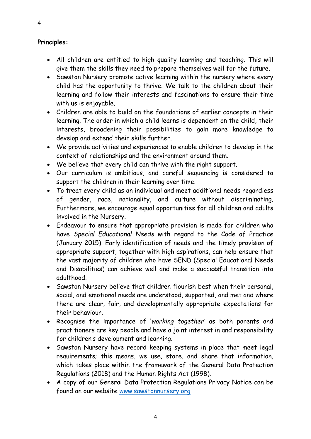# **Principles:**

- All children are entitled to high quality learning and teaching. This will give them the skills they need to prepare themselves well for the future.
- Sawston Nursery promote active learning within the nursery where every child has the opportunity to thrive. We talk to the children about their learning and follow their interests and fascinations to ensure their time with us is enjoyable.
- Children are able to build on the foundations of earlier concepts in their learning. The order in which a child learns is dependent on the child, their interests, broadening their possibilities to gain more knowledge to develop and extend their skills further.
- We provide activities and experiences to enable children to develop in the context of relationships and the environment around them.
- We believe that every child can thrive with the right support.
- Our curriculum is ambitious, and careful sequencing is considered to support the children in their learning over time.
- To treat every child as an individual and meet additional needs regardless of gender, race, nationality, and culture without discriminating. Furthermore, we encourage equal opportunities for all children and adults involved in the Nursery.
- Endeavour to ensure that appropriate provision is made for children who have *Special Educational Needs* with regard to the Code of Practice (January 2015). Early identification of needs and the timely provision of appropriate support, together with high aspirations, can help ensure that the vast majority of children who have SEND (Special Educational Needs and Disabilities) can achieve well and make a successful transition into adulthood.
- Sawston Nursery believe that children flourish best when their personal, social, and emotional needs are understood, supported, and met and where there are clear, fair, and developmentally appropriate expectations for their behaviour.
- Recognise the importance of '*working together'* as both parents and practitioners are key people and have a joint interest in and responsibility for children's development and learning.
- Sawston Nursery have record keeping systems in place that meet legal requirements; this means, we use, store, and share that information, which takes place within the framework of the General Data Protection Regulations (2018) and the Human Rights Act (1998).
- A copy of our General Data Protection Regulations Privacy Notice can be found on our website [www.sawstonnursery.org](http://www.sawstonnursery.org/)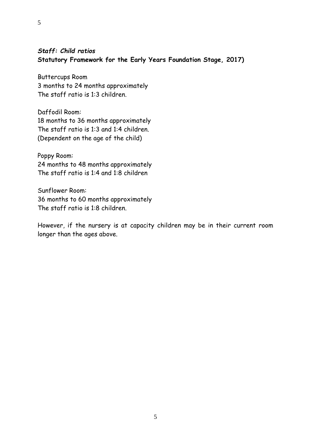# *Staff: Child ratios* **Statutory Framework for the Early Years Foundation Stage, 2017)**

Buttercups Room 3 months to 24 months approximately The staff ratio is 1:3 children.

5

Daffodil Room: 18 months to 36 months approximately The staff ratio is 1:3 and 1:4 children. (Dependent on the age of the child)

Poppy Room: 24 months to 48 months approximately The staff ratio is 1:4 and 1:8 children

Sunflower Room: 36 months to 60 months approximately The staff ratio is 1:8 children.

However, if the nursery is at capacity children may be in their current room longer than the ages above.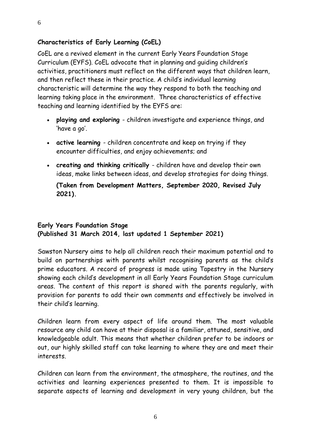## **Characteristics of Early Learning (CoEL)**

CoEL are a revived element in the current Early Years Foundation Stage Curriculum (EYFS). CoEL advocate that in planning and guiding children's activities, practitioners must reflect on the different ways that children learn, and then reflect these in their practice. A child's individual learning characteristic will determine the way they respond to both the teaching and learning taking place in the environment. Three characteristics of effective teaching and learning identified by the EYFS are:

- **playing and exploring** children investigate and experience things, and 'have a go'.
- **active learning** children concentrate and keep on trying if they encounter difficulties, and enjoy achievements; and
- **creating and thinking critically** children have and develop their own ideas, make links between ideas, and develop strategies for doing things.

**(Taken from Development Matters, September 2020, Revised July 2021).**

# **Early Years Foundation Stage**

**(Published 31 March 2014, last updated 1 September 2021)**

Sawston Nursery aims to help all children reach their maximum potential and to build on partnerships with parents whilst recognising parents as the child's prime educators. A record of progress is made using Tapestry in the Nursery showing each child's development in all Early Years Foundation Stage curriculum areas. The content of this report is shared with the parents regularly, with provision for parents to add their own comments and effectively be involved in their child's learning.

Children learn from every aspect of life around them. The most valuable resource any child can have at their disposal is a familiar, attuned, sensitive, and knowledgeable adult. This means that whether children prefer to be indoors or out, our highly skilled staff can take learning to where they are and meet their interests.

Children can learn from the environment, the atmosphere, the routines, and the activities and learning experiences presented to them. It is impossible to separate aspects of learning and development in very young children, but the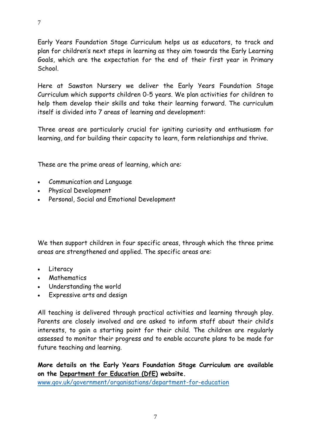Early Years Foundation Stage Curriculum helps us as educators, to track and plan for children's next steps in learning as they aim towards the Early Learning Goals, which are the expectation for the end of their first year in Primary School.

Here at Sawston Nursery we deliver the Early Years Foundation Stage Curriculum which supports children 0-5 years. We plan activities for children to help them develop their skills and take their learning forward. The curriculum itself is divided into 7 areas of learning and development:

Three areas are particularly crucial for igniting curiosity and enthusiasm for learning, and for building their capacity to learn, form relationships and thrive.

These are the prime areas of learning, which are:

- Communication and Language
- Physical Development
- Personal, Social and Emotional Development

We then support children in four specific areas, through which the three prime areas are strengthened and applied. The specific areas are:

- Literacy
- Mathematics
- Understanding the world
- Expressive arts and design

All teaching is delivered through practical activities and learning through play. Parents are closely involved and are asked to inform staff about their child's interests, to gain a starting point for their child. The children are regularly assessed to monitor their progress and to enable accurate plans to be made for future teaching and learning.

**More details on the Early Years Foundation Stage Curriculum are available on the [Department for Education \(DfE\)](http://www.education.gov.uk/childrenandyoungpeople/earlylearningandchildcare/a0068102/early-years-foundation-stage-eyfs) website.**

[www.gov.uk/government/organisations/department-for-education](http://www.gov.uk/government/organisations/department-for-education)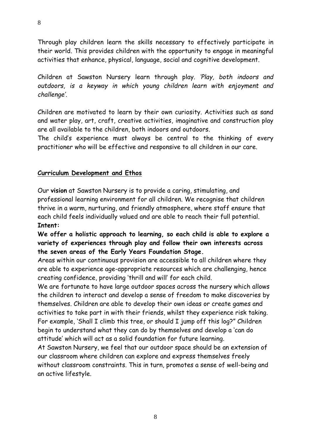Through play children learn the skills necessary to effectively participate in their world. This provides children with the opportunity to engage in meaningful activities that enhance, physical, language, social and cognitive development.

Children at Sawston Nursery learn through play. *'Play, both indoors and outdoors, is a keyway in which young children learn with enjoyment and challenge'.*

Children are motivated to learn by their own curiosity. Activities such as sand and water play, art, craft, creative activities, imaginative and construction play are all available to the children, both indoors and outdoors.

The child's experience must always be central to the thinking of every practitioner who will be effective and responsive to all children in our care.

# **Curriculum Development and Ethos**

Our **vision** at Sawston Nursery is to provide a caring, stimulating, and professional learning environment for all children. We recognise that children thrive in a warm, nurturing, and friendly atmosphere, where staff ensure that each child feels individually valued and are able to reach their full potential. **Intent:**

# **We offer a holistic approach to learning, so each child is able to explore a variety of experiences through play and follow their own interests across the seven areas of the Early Years Foundation Stage.**

Areas within our continuous provision are accessible to all children where they are able to experience age-appropriate resources which are challenging, hence creating confidence, providing 'thrill and will' for each child.

We are fortunate to have large outdoor spaces across the nursery which allows the children to interact and develop a sense of freedom to make discoveries by themselves. Children are able to develop their own ideas or create games and activities to take part in with their friends, whilst they experience risk taking. For example, 'Shall I climb this tree, or should I jump off this log?" Children begin to understand what they can do by themselves and develop a 'can do attitude' which will act as a solid foundation for future learning.

At Sawston Nursery, we feel that our outdoor space should be an extension of our classroom where children can explore and express themselves freely without classroom constraints. This in turn, promotes a sense of well-being and an active lifestyle.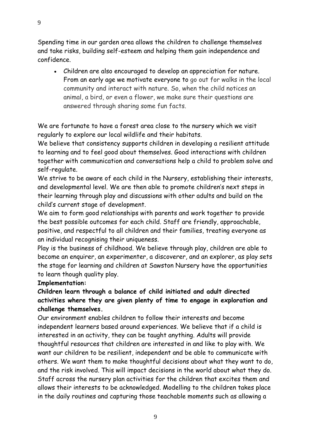Spending time in our garden area allows the children to challenge themselves and take risks, building self-esteem and helping them gain independence and confidence.

• Children are also encouraged to develop an appreciation for nature. From an early age we motivate everyone to go out for walks in the local community and interact with nature. So, when the child notices an animal, a bird, or even a flower, we make sure their questions are answered through sharing some fun facts.

We are fortunate to have a forest area close to the nursery which we visit regularly to explore our local wildlife and their habitats.

We believe that consistency supports children in developing a resilient attitude to learning and to feel good about themselves. Good interactions with children together with communication and conversations help a child to problem solve and self-regulate.

We strive to be aware of each child in the Nursery, establishing their interests, and developmental level. We are then able to promote children's next steps in their learning through play and discussions with other adults and build on the child's current stage of development.

We aim to form good relationships with parents and work together to provide the best possible outcomes for each child. Staff are friendly, approachable, positive, and respectful to all children and their families, treating everyone as an individual recognising their uniqueness.

Play is the business of childhood. We believe through play, children are able to become an enquirer, an experimenter, a discoverer, and an explorer, as play sets the stage for learning and children at Sawston Nursery have the opportunities to learn though quality play.

## **Implementation:**

# **Children learn through a balance of child initiated and adult directed activities where they are given plenty of time to engage in exploration and challenge themselves.**

Our environment enables children to follow their interests and become independent learners based around experiences. We believe that if a child is interested in an activity, they can be taught anything. Adults will provide thoughtful resources that children are interested in and like to play with. We want our children to be resilient, independent and be able to communicate with others. We want them to make thoughtful decisions about what they want to do, and the risk involved. This will impact decisions in the world about what they do. Staff across the nursery plan activities for the children that excites them and allows their interests to be acknowledged. Modelling to the children takes place in the daily routines and capturing those teachable moments such as allowing a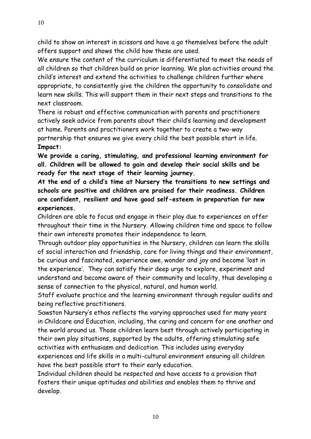child to show an interest in scissors and have a go themselves before the adult offers support and shows the child how these are used.

We ensure the content of the curriculum is differentiated to meet the needs of all children so that children build on prior learning. We plan activities around the child's interest and extend the activities to challenge children further where appropriate, to consistently give the children the opportunity to consolidate and learn new skills. This will support them in their next steps and transitions to the next classroom.

There is robust and effective communication with parents and practitioners actively seek advice from parents about their child's learning and development at home. Parents and practitioners work together to create a two-way partnership that ensures we give every child the best possible start in life. **Impact:**

**We provide a caring, stimulating, and professional learning environment for all. Children will be allowed to gain and develop their social skills and be ready for the next stage of their learning journey.**

**At the end of a child's time at Nursery the transitions to new settings and schools are positive and children are praised for their readiness. Children are confident, resilient and have good self-esteem in preparation for new experiences.**

Children are able to focus and engage in their play due to experiences on offer throughout their time in the Nursery. Allowing children time and space to follow their own interests promotes their independence to learn.

Through outdoor play opportunities in the Nursery, children can learn the skills of social interaction and friendship, care for living things and their environment, be curious and fascinated, experience awe, wonder and joy and become 'lost in the experience'. They can satisfy their deep urge to explore, experiment and understand and become aware of their community and locality, thus developing a sense of connection to the physical, natural, and human world.

Staff evaluate practice and the learning environment through regular audits and being reflective practitioners.

Sawston Nursery's ethos reflects the varying approaches used for many years in Childcare and Education, including, the caring and concern for one another and the world around us. Those children learn best through actively participating in their own play situations, supported by the adults, offering stimulating safe activities with enthusiasm and dedication. This includes using everyday experiences and life skills in a multi-cultural environment ensuring all children have the best possible start to their early education.

Individual children should be respected and have access to a provision that fosters their unique aptitudes and abilities and enables them to thrive and develop.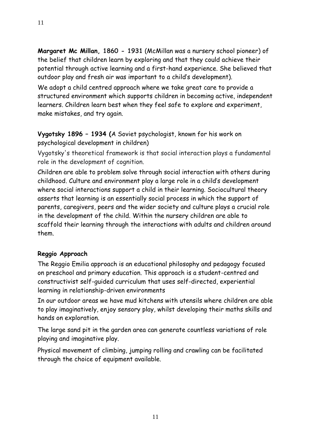**Margaret Mc Millan, 1860 - 1931** (McMillan was a nursery school pioneer) of the belief that children learn by exploring and that they could achieve their potential through active learning and a first-hand experience. She believed that outdoor play and fresh air was important to a child's development).

We adopt a child centred approach where we take great care to provide a structured environment which supports children in becoming active, independent learners. Children learn best when they feel safe to explore and experiment, make mistakes, and try again.

# **Vygotsky 1896 – 1934 (**A Soviet psychologist, known for his work on psychological development in children)

Vygotsky's theoretical framework is that social interaction plays a fundamental role in the development of cognition.

Children are able to problem solve through social interaction with others during childhood. Culture and environment play a large role in a child's development where social interactions support a child in their learning. Sociocultural theory asserts that learning is an essentially social process in which the support of parents, caregivers, peers and the wider society and culture plays a crucial role in the development of the child. Within the nursery children are able to scaffold their learning through the interactions with adults and children around them.

# **Reggio Approach**

The Reggio Emilia approach is an educational philosophy and pedagogy focused on preschool and primary education. This approach is a student-centred and constructivist self-guided curriculum that uses self-directed, experiential learning in relationship-driven environments

In our outdoor areas we have mud kitchens with utensils where children are able to play imaginatively, enjoy sensory play, whilst developing their maths skills and hands on exploration.

The large sand pit in the garden area can generate countless variations of role playing and imaginative play.

Physical movement of climbing, jumping rolling and crawling can be facilitated through the choice of equipment available.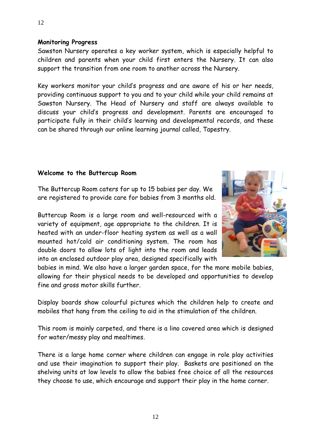#### **Monitoring Progress**

Sawston Nursery operates a key worker system, which is especially helpful to children and parents when your child first enters the Nursery. It can also support the transition from one room to another across the Nursery.

Key workers monitor your child's progress and are aware of his or her needs, providing continuous support to you and to your child while your child remains at Sawston Nursery. The Head of Nursery and staff are always available to discuss your child's progress and development. Parents are encouraged to participate fully in their child's learning and developmental records, and these can be shared through our online learning journal called, Tapestry.

#### **Welcome to the Buttercup Room**

The Buttercup Room caters for up to 15 babies per day. We are registered to provide care for babies from 3 months old.

Buttercup Room is a large room and well-resourced with a variety of equipment, age appropriate to the children. It is heated with an under-floor heating system as well as a wall mounted hot/cold air conditioning system. The room has double doors to allow lots of light into the room and leads into an enclosed outdoor play area, designed specifically with



Display boards show colourful pictures which the children help to create and mobiles that hang from the ceiling to aid in the stimulation of the children.

This room is mainly carpeted, and there is a lino covered area which is designed for water/messy play and mealtimes.

There is a large home corner where children can engage in role play activities and use their imagination to support their play. Baskets are positioned on the shelving units at low levels to allow the babies free choice of all the resources they choose to use, which encourage and support their play in the home corner.

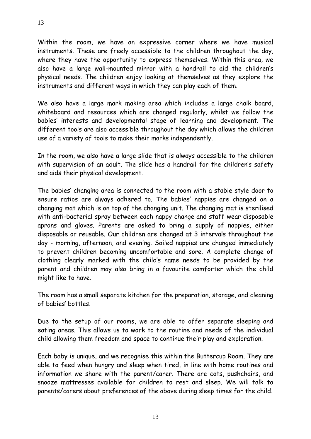Within the room, we have an expressive corner where we have musical instruments. These are freely accessible to the children throughout the day, where they have the opportunity to express themselves. Within this area, we also have a large wall-mounted mirror with a handrail to aid the children's physical needs. The children enjoy looking at themselves as they explore the instruments and different ways in which they can play each of them.

We also have a large mark making area which includes a large chalk board, whiteboard and resources which are changed regularly, whilst we follow the babies' interests and developmental stage of learning and development. The different tools are also accessible throughout the day which allows the children use of a variety of tools to make their marks independently.

In the room, we also have a large slide that is always accessible to the children with supervision of an adult. The slide has a handrail for the children's safety and aids their physical development.

The babies' changing area is connected to the room with a stable style door to ensure ratios are always adhered to. The babies' nappies are changed on a changing mat which is on top of the changing unit. The changing mat is sterilised with anti-bacterial spray between each nappy change and staff wear disposable aprons and gloves. Parents are asked to bring a supply of nappies, either disposable or reusable. Our children are changed at 3 intervals throughout the day - morning, afternoon, and evening. Soiled nappies are changed immediately to prevent children becoming uncomfortable and sore. A complete change of clothing clearly marked with the child's name needs to be provided by the parent and children may also bring in a favourite comforter which the child might like to have.

The room has a small separate kitchen for the preparation, storage, and cleaning of babies' bottles.

Due to the setup of our rooms, we are able to offer separate sleeping and eating areas. This allows us to work to the routine and needs of the individual child allowing them freedom and space to continue their play and exploration.

Each baby is unique, and we recognise this within the Buttercup Room. They are able to feed when hungry and sleep when tired, in line with home routines and information we share with the parent/carer. There are cots, pushchairs, and snooze mattresses available for children to rest and sleep. We will talk to parents/carers about preferences of the above during sleep times for the child.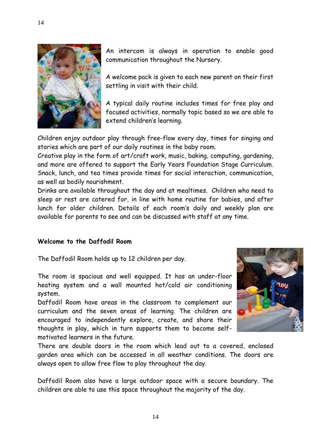

An intercom is always in operation to enable good communication throughout the Nursery.

A welcome pack is given to each new parent on their first settling in visit with their child.

A typical daily routine includes times for free play and focused activities, normally topic based so we are able to extend children's learning.

Children enjoy outdoor play through free-flow every day, times for singing and stories which are part of our daily routines in the baby room.

Creative play in the form of art/craft work, music, baking, computing, gardening, and more are offered to support the Early Years Foundation Stage Curriculum. Snack, lunch, and tea times provide times for social interaction, communication, as well as bodily nourishment.

Drinks are available throughout the day and at mealtimes. Children who need to sleep or rest are catered for, in line with home routine for babies, and after lunch for older children. Details of each room's daily and weekly plan are available for parents to see and can be discussed with staff at any time.

# **Welcome to the Daffodil Room**

The Daffodil Room holds up to 12 children per day.

The room is spacious and well equipped. It has an under-floor heating system and a wall mounted hot/cold air conditioning system.

Daffodil Room have areas in the classroom to complement our curriculum and the seven areas of learning. The children are encouraged to independently explore, create, and share their thoughts in play, which in turn supports them to become selfmotivated learners in the future.



There are double doors in the room which lead out to a covered, enclosed garden area which can be accessed in all weather conditions. The doors are always open to allow free flow to play throughout the day.

Daffodil Room also have a large outdoor space with a secure boundary. The children are able to use this space throughout the majority of the day.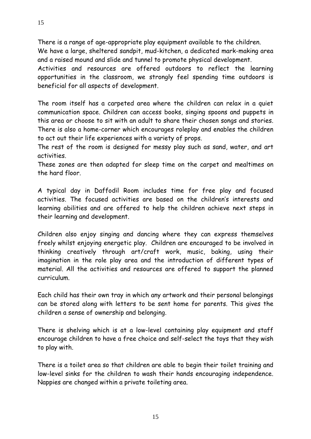There is a range of age-appropriate play equipment available to the children. We have a large, sheltered sandpit, mud-kitchen, a dedicated mark-making area

and a raised mound and slide and tunnel to promote physical development. Activities and resources are offered outdoors to reflect the learning opportunities in the classroom, we strongly feel spending time outdoors is beneficial for all aspects of development.

The room itself has a carpeted area where the children can relax in a quiet communication space. Children can access books, singing spoons and puppets in this area or choose to sit with an adult to share their chosen songs and stories. There is also a home-corner which encourages roleplay and enables the children to act out their life experiences with a variety of props.

The rest of the room is designed for messy play such as sand, water, and art activities.

These zones are then adapted for sleep time on the carpet and mealtimes on the hard floor.

A typical day in Daffodil Room includes time for free play and focused activities. The focused activities are based on the children's interests and learning abilities and are offered to help the children achieve next steps in their learning and development.

Children also enjoy singing and dancing where they can express themselves freely whilst enjoying energetic play. Children are encouraged to be involved in thinking creatively through art/craft work, music, baking, using their imagination in the role play area and the introduction of different types of material. All the activities and resources are offered to support the planned curriculum.

Each child has their own tray in which any artwork and their personal belongings can be stored along with letters to be sent home for parents. This gives the children a sense of ownership and belonging.

There is shelving which is at a low-level containing play equipment and staff encourage children to have a free choice and self-select the toys that they wish to play with.

There is a toilet area so that children are able to begin their toilet training and low-level sinks for the children to wash their hands encouraging independence. Nappies are changed within a private toileting area.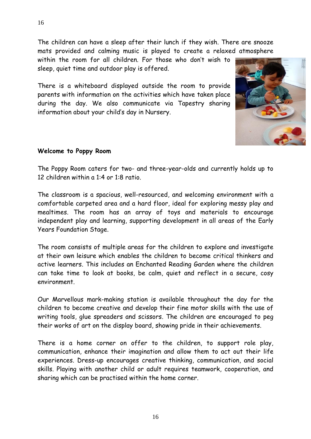The children can have a sleep after their lunch if they wish. There are snooze mats provided and calming music is played to create a relaxed atmosphere

within the room for all children. For those who don't wish to sleep, quiet time and outdoor play is offered.

There is a whiteboard displayed outside the room to provide parents with information on the activities which have taken place during the day. We also communicate via Tapestry sharing information about your child's day in Nursery.



#### **Welcome to Poppy Room**

The Poppy Room caters for two- and three-year-olds and currently holds up to 12 children within a 1:4 or 1:8 ratio.

The classroom is a spacious, well-resourced, and welcoming environment with a comfortable carpeted area and a hard floor, ideal for exploring messy play and mealtimes. The room has an array of toys and materials to encourage independent play and learning, supporting development in all areas of the Early Years Foundation Stage.

The room consists of multiple areas for the children to explore and investigate at their own leisure which enables the children to become critical thinkers and active learners. This includes an Enchanted Reading Garden where the children can take time to look at books, be calm, quiet and reflect in a secure, cosy environment.

Our Marvellous mark-making station is available throughout the day for the children to become creative and develop their fine motor skills with the use of writing tools, glue spreaders and scissors. The children are encouraged to peg their works of art on the display board, showing pride in their achievements.

There is a home corner on offer to the children, to support role play, communication, enhance their imagination and allow them to act out their life experiences. Dress-up encourages creative thinking, communication, and social skills. Playing with another child or adult requires teamwork, cooperation, and sharing which can be practised within the home corner.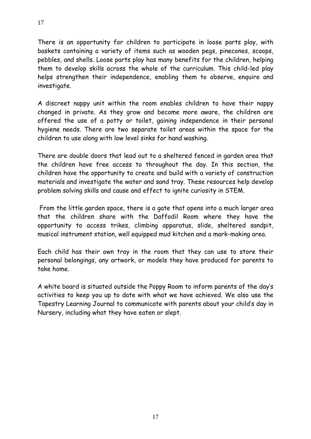There is an opportunity for children to participate in loose parts play, with baskets containing a variety of items such as wooden pegs, pinecones, scoops, pebbles, and shells. Loose parts play has many benefits for the children, helping them to develop skills across the whole of the curriculum. This child-led play helps strengthen their independence, enabling them to observe, enquire and investigate.

A discreet nappy unit within the room enables children to have their nappy changed in private. As they grow and become more aware, the children are offered the use of a potty or toilet, gaining independence in their personal hygiene needs. There are two separate toilet areas within the space for the children to use along with low level sinks for hand washing.

There are double doors that lead out to a sheltered fenced in garden area that the children have free access to throughout the day. In this section, the children have the opportunity to create and build with a variety of construction materials and investigate the water and sand tray. These resources help develop problem solving skills and cause and effect to ignite curiosity in STEM.

From the little garden space, there is a gate that opens into a much larger area that the children share with the Daffodil Room where they have the opportunity to access trikes, climbing apparatus, slide, sheltered sandpit, musical instrument station, well equipped mud kitchen and a mark-making area.

Each child has their own tray in the room that they can use to store their personal belongings, any artwork, or models they have produced for parents to take home.

A white board is situated outside the Poppy Room to inform parents of the day's activities to keep you up to date with what we have achieved. We also use the Tapestry Learning Journal to communicate with parents about your child's day in Nursery, including what they have eaten or slept.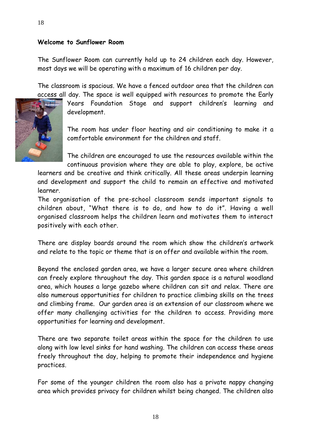#### **Welcome to Sunflower Room**

The Sunflower Room can currently hold up to 24 children each day. However, most days we will be operating with a maximum of 16 children per day.

The classroom is spacious. We have a fenced outdoor area that the children can



The room has under floor heating and air conditioning to make it a comfortable environment for the children and staff.

The children are encouraged to use the resources available within the continuous provision where they are able to play, explore, be active

learners and be creative and think critically. All these areas underpin learning and development and support the child to remain an effective and motivated learner.

The organisation of the pre-school classroom sends important signals to children about, "What there is to do, and how to do it". Having a well organised classroom helps the children learn and motivates them to interact positively with each other.

There are display boards around the room which show the children's artwork and relate to the topic or theme that is on offer and available within the room.

Beyond the enclosed garden area, we have a larger secure area where children can freely explore throughout the day. This garden space is a natural woodland area, which houses a large gazebo where children can sit and relax. There are also numerous opportunities for children to practice climbing skills on the trees and climbing frame. Our garden area is an extension of our classroom where we offer many challenging activities for the children to access. Providing more opportunities for learning and development.

There are two separate toilet areas within the space for the children to use along with low level sinks for hand washing. The children can access these areas freely throughout the day, helping to promote their independence and hygiene practices.

For some of the younger children the room also has a private nappy changing area which provides privacy for children whilst being changed. The children also

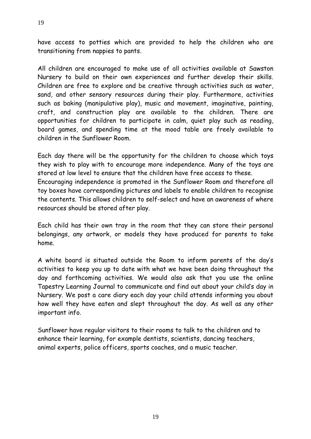have access to potties which are provided to help the children who are transitioning from nappies to pants.

All children are encouraged to make use of all activities available at Sawston Nursery to build on their own experiences and further develop their skills. Children are free to explore and be creative through activities such as water, sand, and other sensory resources during their play. Furthermore, activities such as baking (manipulative play), music and movement, imaginative, painting, craft, and construction play are available to the children. There are opportunities for children to participate in calm, quiet play such as reading, board games, and spending time at the mood table are freely available to children in the Sunflower Room.

Each day there will be the opportunity for the children to choose which toys they wish to play with to encourage more independence. Many of the toys are stored at low level to ensure that the children have free access to these. Encouraging independence is promoted in the Sunflower Room and therefore all toy boxes have corresponding pictures and labels to enable children to recognise the contents. This allows children to self-select and have an awareness of where resources should be stored after play.

Each child has their own tray in the room that they can store their personal belongings, any artwork, or models they have produced for parents to take home.

A white board is situated outside the Room to inform parents of the day's activities to keep you up to date with what we have been doing throughout the day and forthcoming activities. We would also ask that you use the online Tapestry Learning Journal to communicate and find out about your child's day in Nursery. We post a care diary each day your child attends informing you about how well they have eaten and slept throughout the day. As well as any other important info.

Sunflower have regular visitors to their rooms to talk to the children and to enhance their learning, for example dentists, scientists, dancing teachers, animal experts, police officers, sports coaches, and a music teacher.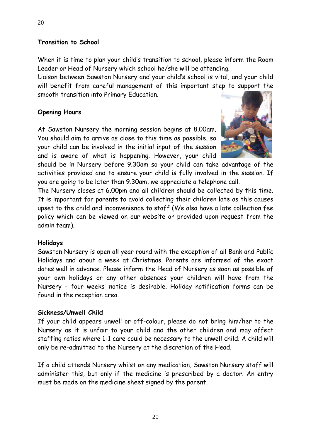## **Transition to School**

When it is time to plan your child's transition to school, please inform the Room Leader or Head of Nursery which school he/she will be attending.

Liaison between Sawston Nursery and your child's school is vital, and your child will benefit from careful management of this important step to support the smooth transition into Primary Education.

## **Opening Hours**

At Sawston Nursery the morning session begins at 8.00am. You should aim to arrive as close to this time as possible, so your child can be involved in the initial input of the session and is aware of what is happening. However, your child



should be in Nursery before 9.30am so your child can take advantage of the activities provided and to ensure your child is fully involved in the session. If you are going to be later than 9.30am, we appreciate a telephone call.

The Nursery closes at 6.00pm and all children should be collected by this time. It is important for parents to avoid collecting their children late as this causes upset to the child and inconvenience to staff (We also have a late collection fee policy which can be viewed on our website or provided upon request from the admin team).

## **Holidays**

Sawston Nursery is open all year round with the exception of all Bank and Public Holidays and about a week at Christmas. Parents are informed of the exact dates well in advance. Please inform the Head of Nursery as soon as possible of your own holidays or any other absences your children will have from the Nursery - four weeks' notice is desirable. Holiday notification forms can be found in the reception area.

## **Sickness/Unwell Child**

If your child appears unwell or off-colour, please do not bring him/her to the Nursery as it is unfair to your child and the other children and may affect staffing ratios where 1-1 care could be necessary to the unwell child. A child will only be re-admitted to the Nursery at the discretion of the Head.

If a child attends Nursery whilst on any medication, Sawston Nursery staff will administer this, but only if the medicine is prescribed by a doctor. An entry must be made on the medicine sheet signed by the parent.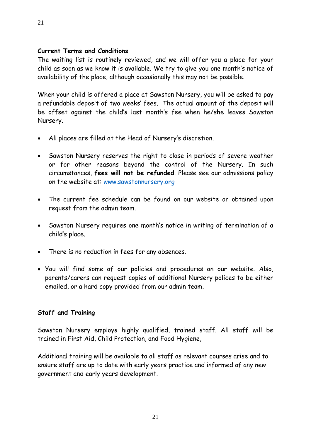## **Current Terms and Conditions**

The waiting list is routinely reviewed, and we will offer you a place for your child as soon as we know it is available. We try to give you one month's notice of availability of the place, although occasionally this may not be possible.

When your child is offered a place at Sawston Nursery, you will be asked to pay a refundable deposit of two weeks' fees. The actual amount of the deposit will be offset against the child's last month's fee when he/she leaves Sawston Nursery.

- All places are filled at the Head of Nursery's discretion.
- Sawston Nursery reserves the right to close in periods of severe weather or for other reasons beyond the control of the Nursery. In such circumstances, **fees will not be refunded**. Please see our admissions policy on the website at: [www.sawstonnursery.org](http://www.sawstonnursery.org/)
- The current fee schedule can be found on our website or obtained upon request from the admin team.
- Sawston Nursery requires one month's notice in writing of termination of a child's place.
- There is no reduction in fees for any absences.
- You will find some of our policies and procedures on our website. Also, parents/carers can request copies of additional Nursery polices to be either emailed, or a hard copy provided from our admin team.

## **Staff and Training**

Sawston Nursery employs highly qualified, trained staff. All staff will be trained in First Aid, Child Protection, and Food Hygiene,

Additional training will be available to all staff as relevant courses arise and to ensure staff are up to date with early years practice and informed of any new government and early years development.